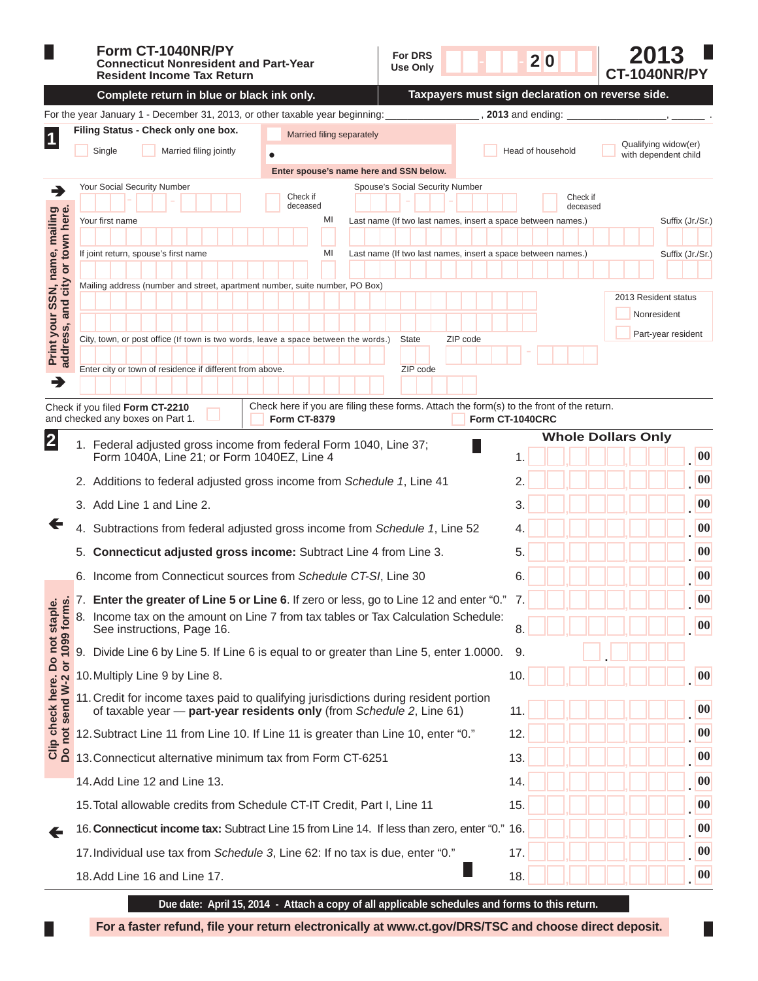|                                                                   | Form CT-1040NR/PY<br><b>For DRS</b><br><b>Connecticut Nonresident and Part-Year</b><br>Use Only<br><b>Resident Income Tax Return</b>                                                   | 20<br><b>CT-1040NR/PY</b>                                                                    |  |  |  |  |  |  |  |
|-------------------------------------------------------------------|----------------------------------------------------------------------------------------------------------------------------------------------------------------------------------------|----------------------------------------------------------------------------------------------|--|--|--|--|--|--|--|
|                                                                   | Complete return in blue or black ink only.                                                                                                                                             | Taxpayers must sign declaration on reverse side.                                             |  |  |  |  |  |  |  |
|                                                                   | For the year January 1 - December 31, 2013, or other taxable year beginning:                                                                                                           | 2013 and ending:                                                                             |  |  |  |  |  |  |  |
| $\vert$ 1                                                         | Filing Status - Check only one box.<br>Married filing separately                                                                                                                       |                                                                                              |  |  |  |  |  |  |  |
|                                                                   | Single<br>Married filing jointly<br>$\bullet$                                                                                                                                          | Qualifying widow(er)<br>Head of household<br>with dependent child                            |  |  |  |  |  |  |  |
|                                                                   | Enter spouse's name here and SSN below.                                                                                                                                                |                                                                                              |  |  |  |  |  |  |  |
| ∍                                                                 | Your Social Security Number<br>Spouse's Social Security Number<br>Check if                                                                                                             | Check if                                                                                     |  |  |  |  |  |  |  |
|                                                                   | deceased<br>MI<br>Your first name                                                                                                                                                      | deceased<br>Last name (If two last names, insert a space between names.)<br>Suffix (Jr./Sr.) |  |  |  |  |  |  |  |
|                                                                   |                                                                                                                                                                                        |                                                                                              |  |  |  |  |  |  |  |
| Print your SSN, name, mailing<br>address, and city or town here.  | MI<br>If joint return, spouse's first name                                                                                                                                             | Suffix (Jr./Sr.)<br>Last name (If two last names, insert a space between names.)             |  |  |  |  |  |  |  |
|                                                                   |                                                                                                                                                                                        |                                                                                              |  |  |  |  |  |  |  |
|                                                                   | Mailing address (number and street, apartment number, suite number, PO Box)                                                                                                            | 2013 Resident status                                                                         |  |  |  |  |  |  |  |
|                                                                   |                                                                                                                                                                                        | Nonresident                                                                                  |  |  |  |  |  |  |  |
|                                                                   | City, town, or post office (If town is two words, leave a space between the words.)<br><b>State</b>                                                                                    | Part-year resident<br>ZIP code                                                               |  |  |  |  |  |  |  |
|                                                                   |                                                                                                                                                                                        |                                                                                              |  |  |  |  |  |  |  |
| →                                                                 | Enter city or town of residence if different from above.<br>ZIP code                                                                                                                   |                                                                                              |  |  |  |  |  |  |  |
|                                                                   |                                                                                                                                                                                        |                                                                                              |  |  |  |  |  |  |  |
|                                                                   | Check here if you are filing these forms. Attach the form(s) to the front of the return.<br>Check if you filed Form CT-2210<br>and checked any boxes on Part 1.<br><b>Form CT-8379</b> | Form CT-1040CRC                                                                              |  |  |  |  |  |  |  |
| $\overline{2}$                                                    |                                                                                                                                                                                        | <b>Whole Dollars Only</b>                                                                    |  |  |  |  |  |  |  |
|                                                                   | 1. Federal adjusted gross income from federal Form 1040, Line 37;<br>Form 1040A, Line 21; or Form 1040EZ, Line 4                                                                       | $\boldsymbol{00}$                                                                            |  |  |  |  |  |  |  |
|                                                                   | 2. Additions to federal adjusted gross income from Schedule 1, Line 41                                                                                                                 | 00                                                                                           |  |  |  |  |  |  |  |
|                                                                   |                                                                                                                                                                                        |                                                                                              |  |  |  |  |  |  |  |
|                                                                   | 3. Add Line 1 and Line 2.                                                                                                                                                              | 00                                                                                           |  |  |  |  |  |  |  |
|                                                                   | 4. Subtractions from federal adjusted gross income from Schedule 1, Line 52                                                                                                            | $\bf{00}$                                                                                    |  |  |  |  |  |  |  |
|                                                                   | Connecticut adjusted gross income: Subtract Line 4 from Line 3.<br>5.                                                                                                                  | 00<br>5                                                                                      |  |  |  |  |  |  |  |
|                                                                   | 6. Income from Connecticut sources from Schedule CT-SI, Line 30                                                                                                                        | 00<br>6.                                                                                     |  |  |  |  |  |  |  |
|                                                                   | 7. Enter the greater of Line 5 or Line 6. If zero or less, go to Line 12 and enter "0." 7.                                                                                             | 00                                                                                           |  |  |  |  |  |  |  |
|                                                                   | 8.<br>Income tax on the amount on Line 7 from tax tables or Tax Calculation Schedule:                                                                                                  | 00                                                                                           |  |  |  |  |  |  |  |
|                                                                   | See instructions, Page 16.<br>8                                                                                                                                                        |                                                                                              |  |  |  |  |  |  |  |
| Clip check here. Do not staple.<br>Do not send W-2 or 1099 forms. | 9.<br>Divide Line 6 by Line 5. If Line 6 is equal to or greater than Line 5, enter 1.0000.                                                                                             | 9.                                                                                           |  |  |  |  |  |  |  |
|                                                                   | 10. Multiply Line 9 by Line 8.                                                                                                                                                         | 00<br>10.                                                                                    |  |  |  |  |  |  |  |
|                                                                   | 11. Credit for income taxes paid to qualifying jurisdictions during resident portion                                                                                                   |                                                                                              |  |  |  |  |  |  |  |
|                                                                   | of taxable year - part-year residents only (from Schedule 2, Line 61)                                                                                                                  | $\boldsymbol{00}$<br>11.                                                                     |  |  |  |  |  |  |  |
|                                                                   | 12. Subtract Line 11 from Line 10. If Line 11 is greater than Line 10, enter "0."                                                                                                      | $\boldsymbol{00}$<br>12.                                                                     |  |  |  |  |  |  |  |
|                                                                   | 13. Connecticut alternative minimum tax from Form CT-6251<br>13.                                                                                                                       |                                                                                              |  |  |  |  |  |  |  |
|                                                                   | 14. Add Line 12 and Line 13.                                                                                                                                                           | $\boldsymbol{00}$<br>14.                                                                     |  |  |  |  |  |  |  |
|                                                                   | 15. Total allowable credits from Schedule CT-IT Credit, Part I, Line 11                                                                                                                | $\boldsymbol{00}$<br>15.                                                                     |  |  |  |  |  |  |  |
|                                                                   |                                                                                                                                                                                        |                                                                                              |  |  |  |  |  |  |  |
| ←                                                                 | 16. Connecticut income tax: Subtract Line 15 from Line 14. If less than zero, enter "0." 16.                                                                                           | $\boldsymbol{00}$                                                                            |  |  |  |  |  |  |  |
|                                                                   | 17. Individual use tax from Schedule 3, Line 62: If no tax is due, enter "0."                                                                                                          | $\boldsymbol{00}$<br>17.                                                                     |  |  |  |  |  |  |  |
|                                                                   | 18. Add Line 16 and Line 17.                                                                                                                                                           | $\boldsymbol{00}$<br>18.                                                                     |  |  |  |  |  |  |  |

For a faster refund, file your return electronically at www.ct.gov/DRS/TSC and choose direct deposit.

П

 $\Box$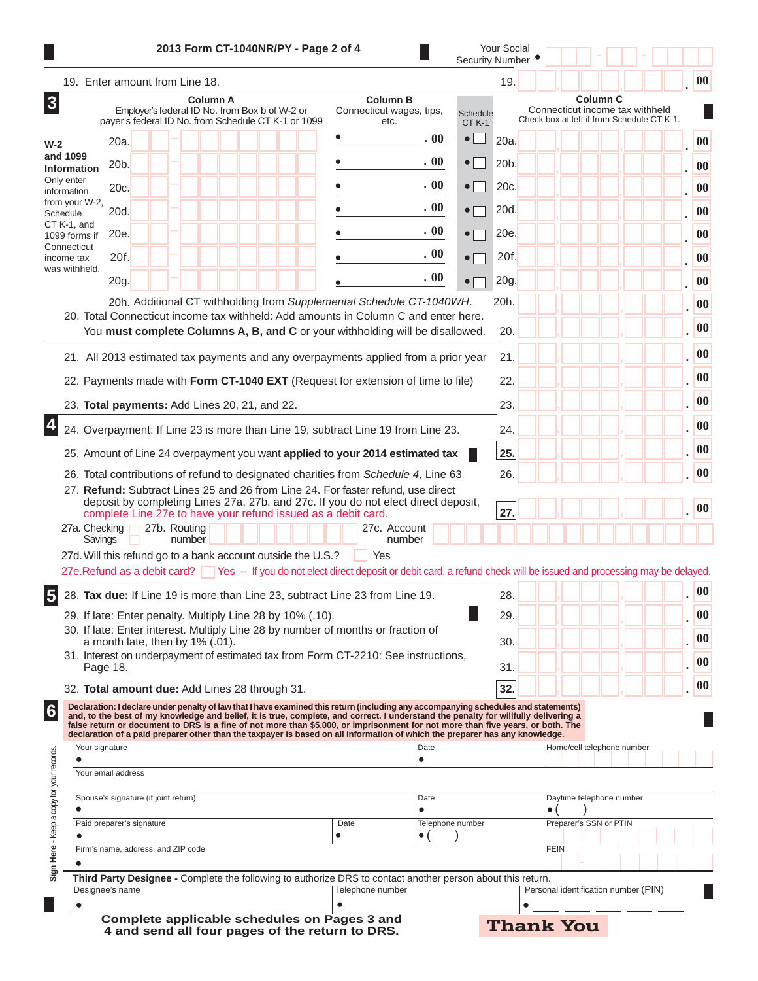|                                                                         |          |                                                     |              |                 |  | 2013 Form CT-1040NR/PY - Page 2 of 4                |           |                                                                                                                                                                                                                                                                                                                                                                                                             |                         |                               | <b>Security Number</b> | Your Social |             |                          |                                      |                                            |                   |
|-------------------------------------------------------------------------|----------|-----------------------------------------------------|--------------|-----------------|--|-----------------------------------------------------|-----------|-------------------------------------------------------------------------------------------------------------------------------------------------------------------------------------------------------------------------------------------------------------------------------------------------------------------------------------------------------------------------------------------------------------|-------------------------|-------------------------------|------------------------|-------------|-------------|--------------------------|--------------------------------------|--------------------------------------------|-------------------|
| 19. Enter amount from Line 18.                                          |          |                                                     |              |                 |  |                                                     |           |                                                                                                                                                                                                                                                                                                                                                                                                             |                         |                               |                        | 19.         |             |                          |                                      |                                            | $\boldsymbol{00}$ |
|                                                                         |          | Employer's federal ID No. from Box b of W-2 or      |              | <b>Column A</b> |  | payer's federal ID No. from Schedule CT K-1 or 1099 |           | Connecticut wages, tips,                                                                                                                                                                                                                                                                                                                                                                                    | <b>Column B</b><br>etc. |                               | Schedule<br>$CT K-1$   |             |             | <b>Column C</b>          | Connecticut income tax withheld      | Check box at left if from Schedule CT K-1. |                   |
|                                                                         | 20a.     |                                                     |              |                 |  |                                                     |           |                                                                                                                                                                                                                                                                                                                                                                                                             |                         | .00                           | $\bullet$              | 20a.        |             |                          |                                      |                                            | $\boldsymbol{00}$ |
| and 1099<br><b>Information</b>                                          | 20b.     |                                                     |              |                 |  |                                                     |           |                                                                                                                                                                                                                                                                                                                                                                                                             |                         | . 00                          | $\bullet$              | 20b.        |             |                          |                                      |                                            | 00                |
| Only enter<br>information                                               | 20c.     |                                                     |              |                 |  |                                                     |           |                                                                                                                                                                                                                                                                                                                                                                                                             |                         | . 00                          | $\bullet$              | 20c.        |             |                          |                                      |                                            |                   |
| from your W-2,<br>Schedule                                              | 20d.     |                                                     |              |                 |  |                                                     |           |                                                                                                                                                                                                                                                                                                                                                                                                             |                         | .00                           | $\bullet$              | 20d.        |             |                          |                                      |                                            |                   |
| CT K-1, and<br>1099 forms if                                            | 20e.     |                                                     |              |                 |  |                                                     |           |                                                                                                                                                                                                                                                                                                                                                                                                             |                         | . 00                          | $\bullet$              | 20e.        |             |                          |                                      |                                            |                   |
| Connecticut<br>income tax                                               | 20f.     |                                                     |              |                 |  |                                                     |           |                                                                                                                                                                                                                                                                                                                                                                                                             |                         | . 00                          | $\bullet$              | 20f.        |             |                          |                                      |                                            |                   |
| was withheld.                                                           | 20g.     |                                                     |              |                 |  |                                                     |           |                                                                                                                                                                                                                                                                                                                                                                                                             |                         | . 00                          | $\bullet$              | 20g.        |             |                          |                                      |                                            |                   |
|                                                                         |          |                                                     |              |                 |  |                                                     |           | 20h. Additional CT withholding from Supplemental Schedule CT-1040WH.                                                                                                                                                                                                                                                                                                                                        |                         |                               |                        | 20h.        |             |                          |                                      |                                            |                   |
|                                                                         |          |                                                     |              |                 |  |                                                     |           | 20. Total Connecticut income tax withheld: Add amounts in Column C and enter here.                                                                                                                                                                                                                                                                                                                          |                         |                               |                        |             |             |                          |                                      |                                            |                   |
|                                                                         |          |                                                     |              |                 |  |                                                     |           | You must complete Columns A, B, and C or your withholding will be disallowed.                                                                                                                                                                                                                                                                                                                               |                         |                               |                        | 20.         |             |                          |                                      |                                            |                   |
|                                                                         |          |                                                     |              |                 |  |                                                     |           | 21. All 2013 estimated tax payments and any overpayments applied from a prior year                                                                                                                                                                                                                                                                                                                          |                         |                               |                        | 21.         |             |                          |                                      |                                            |                   |
|                                                                         |          |                                                     |              |                 |  |                                                     |           | 22. Payments made with Form CT-1040 EXT (Request for extension of time to file)                                                                                                                                                                                                                                                                                                                             |                         |                               |                        | 22.         |             |                          |                                      |                                            |                   |
| 23. Total payments: Add Lines 20, 21, and 22.                           |          |                                                     |              |                 |  |                                                     |           |                                                                                                                                                                                                                                                                                                                                                                                                             |                         |                               |                        | 23.         |             |                          |                                      |                                            |                   |
|                                                                         |          |                                                     |              |                 |  |                                                     |           | 24. Overpayment: If Line 23 is more than Line 19, subtract Line 19 from Line 23.                                                                                                                                                                                                                                                                                                                            |                         |                               |                        | 24.         |             |                          |                                      |                                            |                   |
|                                                                         |          |                                                     |              |                 |  |                                                     |           | 25. Amount of Line 24 overpayment you want applied to your 2014 estimated tax                                                                                                                                                                                                                                                                                                                               |                         |                               |                        | 25.         |             |                          |                                      |                                            |                   |
|                                                                         |          |                                                     |              |                 |  |                                                     |           | 26. Total contributions of refund to designated charities from Schedule 4, Line 63                                                                                                                                                                                                                                                                                                                          |                         |                               |                        | 26.         |             |                          |                                      |                                            |                   |
|                                                                         |          |                                                     |              |                 |  |                                                     |           | 27. Refund: Subtract Lines 25 and 26 from Line 24. For faster refund, use direct<br>deposit by completing Lines 27a, 27b, and 27c. If you do not elect direct deposit,                                                                                                                                                                                                                                      |                         |                               |                        |             |             |                          |                                      |                                            |                   |
| 27a. Checking                                                           |          |                                                     | 27b. Routing |                 |  |                                                     |           | complete Line 27e to have your refund issued as a debit card.                                                                                                                                                                                                                                                                                                                                               | 27c. Account            |                               |                        | 27.         |             |                          |                                      |                                            |                   |
| Savings<br>27d. Will this refund go to a bank account outside the U.S.? |          |                                                     | number       |                 |  |                                                     |           | Yes                                                                                                                                                                                                                                                                                                                                                                                                         | number                  |                               |                        |             |             |                          |                                      |                                            |                   |
|                                                                         |          |                                                     |              |                 |  |                                                     |           | 27e. Refund as a debit card? Yes -- If you do not elect direct deposit or debit card, a refund check will be issued and processing may be delayed.                                                                                                                                                                                                                                                          |                         |                               |                        |             |             |                          |                                      |                                            |                   |
|                                                                         |          |                                                     |              |                 |  |                                                     |           | 28. Tax due: If Line 19 is more than Line 23, subtract Line 23 from Line 19.                                                                                                                                                                                                                                                                                                                                |                         |                               |                        | 28.         |             |                          |                                      |                                            |                   |
| 29. If late: Enter penalty. Multiply Line 28 by 10% (.10).              |          |                                                     |              |                 |  |                                                     |           |                                                                                                                                                                                                                                                                                                                                                                                                             |                         |                               |                        | 29.         |             |                          |                                      |                                            |                   |
|                                                                         |          | a month late, then by 1% (.01).                     |              |                 |  |                                                     |           | 30. If late: Enter interest. Multiply Line 28 by number of months or fraction of                                                                                                                                                                                                                                                                                                                            |                         |                               |                        | 30.         |             |                          |                                      |                                            |                   |
|                                                                         | Page 18. |                                                     |              |                 |  |                                                     |           | 31. Interest on underpayment of estimated tax from Form CT-2210: See instructions,                                                                                                                                                                                                                                                                                                                          |                         |                               |                        | 31.         |             |                          |                                      |                                            |                   |
| 32. Total amount due: Add Lines 28 through 31.                          |          |                                                     |              |                 |  |                                                     |           |                                                                                                                                                                                                                                                                                                                                                                                                             |                         |                               |                        | 32.         |             |                          |                                      |                                            |                   |
|                                                                         |          |                                                     |              |                 |  |                                                     |           | Declaration: I declare under penalty of law that I have examined this return (including any accompanying schedules and statements)<br>and, to the best of my knowledge and belief, it is true, complete, and correct. I understand the penalty for willfully delivering a<br>false return or document to DRS is a fine of not more than \$5,000, or imprisonment for not more than five years, or both. The |                         |                               |                        |             |             |                          |                                      |                                            |                   |
| Your signature                                                          |          |                                                     |              |                 |  |                                                     |           | declaration of a paid preparer other than the taxpayer is based on all information of which the preparer has any knowledge.                                                                                                                                                                                                                                                                                 |                         | Date                          |                        |             |             |                          | Home/cell telephone number           |                                            |                   |
| Your email address                                                      |          |                                                     |              |                 |  |                                                     |           |                                                                                                                                                                                                                                                                                                                                                                                                             |                         | $\bullet$                     |                        |             |             |                          |                                      |                                            |                   |
|                                                                         |          |                                                     |              |                 |  |                                                     |           |                                                                                                                                                                                                                                                                                                                                                                                                             |                         |                               |                        |             |             |                          |                                      |                                            |                   |
|                                                                         |          | Spouse's signature (if joint return)                |              |                 |  |                                                     |           |                                                                                                                                                                                                                                                                                                                                                                                                             |                         | Date<br>$\bullet$             |                        |             | $\bullet$ ( | Daytime telephone number |                                      |                                            |                   |
|                                                                         |          | Paid preparer's signature                           |              |                 |  |                                                     | $\bullet$ | Date                                                                                                                                                                                                                                                                                                                                                                                                        |                         | Telephone number<br>$\bullet$ |                        |             |             | Preparer's SSN or PTIN   |                                      |                                            |                   |
|                                                                         |          | Firm's name, address, and ZIP code                  |              |                 |  |                                                     |           |                                                                                                                                                                                                                                                                                                                                                                                                             |                         |                               |                        |             | <b>FEIN</b> |                          |                                      |                                            |                   |
|                                                                         |          |                                                     |              |                 |  |                                                     |           | Third Party Designee - Complete the following to authorize DRS to contact another person about this return.                                                                                                                                                                                                                                                                                                 |                         |                               |                        |             |             |                          |                                      |                                            |                   |
| Designee's name                                                         |          |                                                     |              |                 |  |                                                     |           | Telephone number                                                                                                                                                                                                                                                                                                                                                                                            |                         |                               |                        |             |             |                          | Personal identification number (PIN) |                                            |                   |
|                                                                         |          | <b>Complete applicable schedules on Pages 3 and</b> |              |                 |  |                                                     |           |                                                                                                                                                                                                                                                                                                                                                                                                             |                         |                               |                        |             |             |                          |                                      |                                            |                   |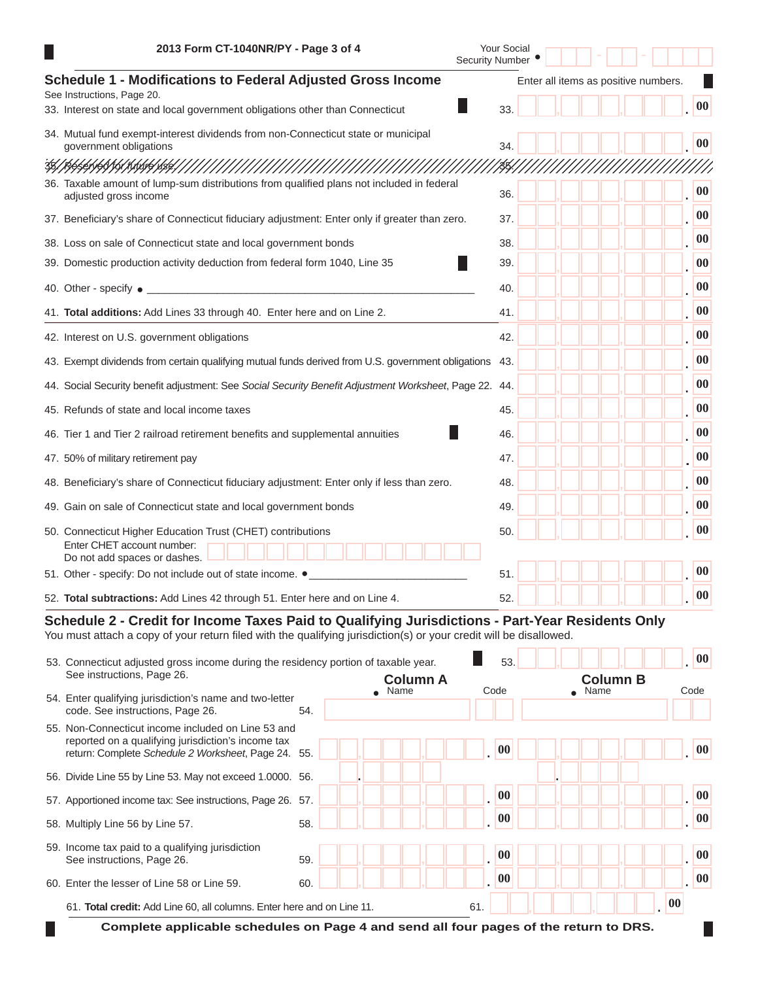| 2013 Form CT-1040NR/PY - Page 3 of 4                                                                                                                                                                                   | Your Social<br><b>Security Number</b> |  |                                      |                   |
|------------------------------------------------------------------------------------------------------------------------------------------------------------------------------------------------------------------------|---------------------------------------|--|--------------------------------------|-------------------|
| Schedule 1 - Modifications to Federal Adjusted Gross Income<br>See Instructions, Page 20.                                                                                                                              |                                       |  | Enter all items as positive numbers. |                   |
| 33. Interest on state and local government obligations other than Connecticut                                                                                                                                          | 33.                                   |  |                                      | 00                |
| 34. Mutual fund exempt-interest dividends from non-Connecticut state or municipal<br>government obligations                                                                                                            | 34                                    |  |                                      | 00                |
| 35/R6\$61\60\101\1\10PHBE/////////////                                                                                                                                                                                 |                                       |  |                                      |                   |
| 36. Taxable amount of lump-sum distributions from qualified plans not included in federal<br>adjusted gross income                                                                                                     | 36.                                   |  |                                      | $\boldsymbol{00}$ |
| 37. Beneficiary's share of Connecticut fiduciary adjustment: Enter only if greater than zero.                                                                                                                          | 37.                                   |  |                                      | $\boldsymbol{00}$ |
| 38. Loss on sale of Connecticut state and local government bonds                                                                                                                                                       | 38.                                   |  |                                      | 00                |
| 39. Domestic production activity deduction from federal form 1040, Line 35                                                                                                                                             | 39.                                   |  |                                      | 00                |
| 40. Other - specify $\bullet$ _                                                                                                                                                                                        | 40.                                   |  |                                      | 00                |
| 41. Total additions: Add Lines 33 through 40. Enter here and on Line 2.                                                                                                                                                | 41.                                   |  |                                      | 00                |
| 42. Interest on U.S. government obligations                                                                                                                                                                            | 42.                                   |  |                                      | 00                |
| 43. Exempt dividends from certain qualifying mutual funds derived from U.S. government obligations                                                                                                                     | -43.                                  |  |                                      | $\boldsymbol{00}$ |
| 44. Social Security benefit adjustment: See Social Security Benefit Adjustment Worksheet, Page 22. 44.                                                                                                                 |                                       |  |                                      | $\boldsymbol{00}$ |
| 45. Refunds of state and local income taxes                                                                                                                                                                            | 45.                                   |  |                                      | 00                |
| 46. Tier 1 and Tier 2 railroad retirement benefits and supplemental annuities                                                                                                                                          | 46.                                   |  |                                      | $\boldsymbol{00}$ |
| 47. 50% of military retirement pay                                                                                                                                                                                     | 47.                                   |  |                                      | 00                |
| 48. Beneficiary's share of Connecticut fiduciary adjustment: Enter only if less than zero.                                                                                                                             | 48.                                   |  |                                      | $\boldsymbol{00}$ |
| 49. Gain on sale of Connecticut state and local government bonds                                                                                                                                                       | 49.                                   |  |                                      | 00                |
| 50. Connecticut Higher Education Trust (CHET) contributions<br>Enter CHET account number:<br>Do not add spaces or dashes.                                                                                              | 50.                                   |  |                                      | 00                |
| 51. Other - specify: Do not include out of state income. $\bullet$                                                                                                                                                     | 51.                                   |  |                                      | 00                |
| 52. Total subtractions: Add Lines 42 through 51. Enter here and on Line 4.                                                                                                                                             | 52.                                   |  |                                      | 00                |
| Schedule 2 - Credit for Income Taxes Paid to Qualifying Jurisdictions - Part-Year Residents Only<br>You must attach a copy of your return filed with the qualifying jurisdiction(s) or your credit will be disallowed. |                                       |  |                                      |                   |
| 53. Connecticut adjusted gross income during the residency portion of taxable year.<br>See instructions, Page 26.<br><b>Column A</b>                                                                                   | 53.                                   |  | <b>Column B</b>                      | 00                |

| $\overline{\text{Oee}}$ instructions, and $\overline{\text{O}}$ .<br>Enter qualifying jurisdiction's name and two-letter<br>54.                                 |     | Column A<br>Name | Code      | <b>Column B</b><br>Name |           | Code |
|-----------------------------------------------------------------------------------------------------------------------------------------------------------------|-----|------------------|-----------|-------------------------|-----------|------|
| code. See instructions, Page 26.                                                                                                                                | 54. |                  |           |                         |           |      |
| 55. Non-Connecticut income included on Line 53 and<br>reported on a qualifying jurisdiction's income tax<br>return: Complete Schedule 2 Worksheet, Page 24. 55. |     |                  | $\bf{00}$ |                         |           | 00   |
| 56. Divide Line 55 by Line 53. May not exceed 1.0000. 56.                                                                                                       |     |                  |           |                         |           |      |
| 57. Apportioned income tax: See instructions, Page 26. 57.                                                                                                      |     |                  | 00        |                         |           | 00   |
| 58. Multiply Line 56 by Line 57.                                                                                                                                | 58. |                  | 00        |                         |           | 00   |
| 59. Income tax paid to a qualifying jurisdiction<br>See instructions, Page 26.                                                                                  | 59. |                  | 00        |                         |           | 00   |
| Enter the lesser of Line 58 or Line 59.<br>60.                                                                                                                  | 60. |                  | 00        |                         |           | 00   |
| 61. Total credit: Add Line 60, all columns. Enter here and on Line 11.                                                                                          |     |                  | 61.       |                         | $\bf{00}$ |      |
| Complete applicable schedules on Page 4 and send all four pages of the return to DRS.                                                                           |     |                  |           |                         |           |      |